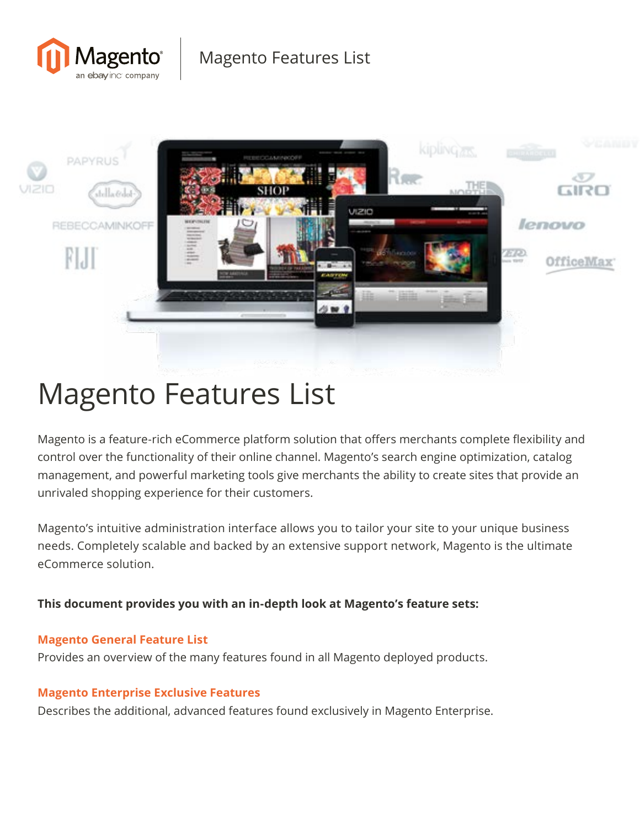



# Magento Features List

Magento is a feature-rich eCommerce platform solution that offers merchants complete flexibility and control over the functionality of their online channel. Magento's search engine optimization, catalog management, and powerful marketing tools give merchants the ability to create sites that provide an unrivaled shopping experience for their customers.

Magento's intuitive administration interface allows you to tailor your site to your unique business needs. Completely scalable and backed by an extensive support network, Magento is the ultimate eCommerce solution.

**This document provides you with an in-depth look at Magento's feature sets:**

#### **Magento General Feature List**

Provides an overview of the many features found in all Magento deployed products.

#### **Magento Enterprise Exclusive Features**

Describes the additional, advanced features found exclusively in Magento Enterprise.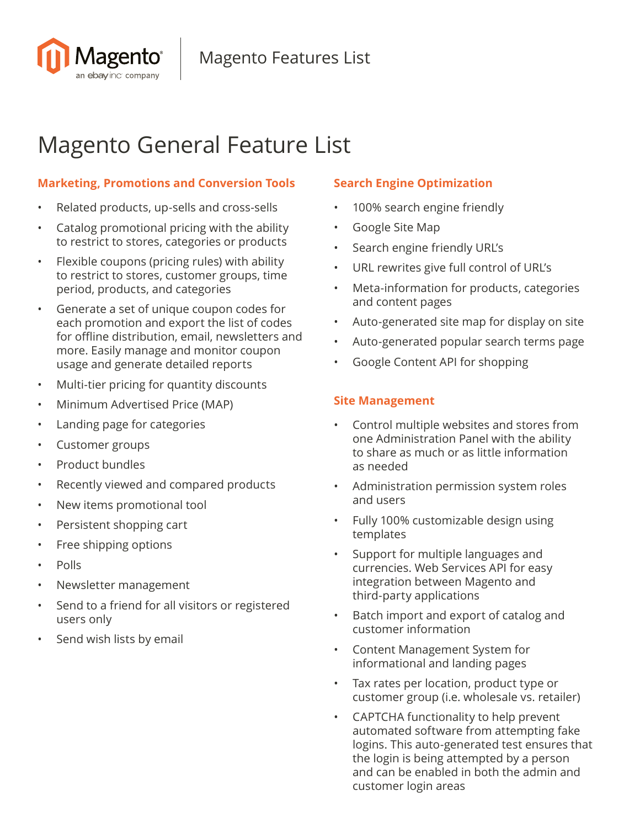

## Magento General Feature List

#### **Marketing, Promotions and Conversion Tools**

- Related products, up-sells and cross-sells
- Catalog promotional pricing with the ability to restrict to stores, categories or products
- Flexible coupons (pricing rules) with ability to restrict to stores, customer groups, time period, products, and categories
- Generate a set of unique coupon codes for each promotion and export the list of codes for offline distribution, email, newsletters and more. Easily manage and monitor coupon usage and generate detailed reports
- Multi-tier pricing for quantity discounts
- Minimum Advertised Price (MAP)
- Landing page for categories
- Customer groups
- Product bundles
- Recently viewed and compared products
- New items promotional tool
- Persistent shopping cart
- Free shipping options
- Polls
- Newsletter management
- Send to a friend for all visitors or registered users only
- Send wish lists by email

#### **Search Engine Optimization**

- 100% search engine friendly
- Google Site Map
- Search engine friendly URL's
- URL rewrites give full control of URL's
- Meta-information for products, categories and content pages
- Auto-generated site map for display on site
- Auto-generated popular search terms page
- Google Content API for shopping

#### **Site Management**

- Control multiple websites and stores from one Administration Panel with the ability to share as much or as little information as needed
- Administration permission system roles and users
- Fully 100% customizable design using templates
- Support for multiple languages and currencies. Web Services API for easy integration between Magento and third-party applications
- Batch import and export of catalog and customer information
- Content Management System for informational and landing pages
- Tax rates per location, product type or customer group (i.e. wholesale vs. retailer)
- CAPTCHA functionality to help prevent automated software from attempting fake logins. This auto-generated test ensures that the login is being attempted by a person and can be enabled in both the admin and customer login areas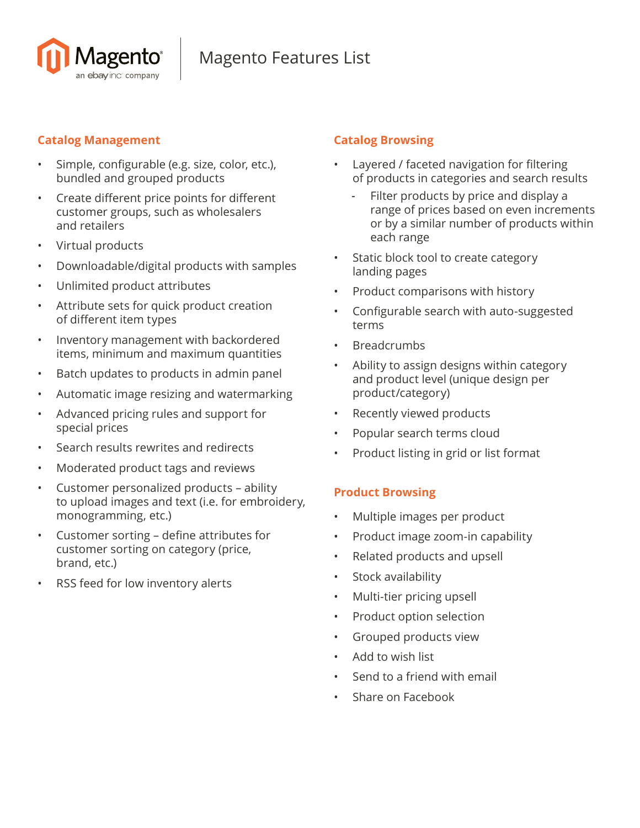

#### **Catalog Management**

- Simple, configurable (e.g. size, color, etc.), bundled and grouped products
- Create different price points for different customer groups, such as wholesalers and retailers
- Virtual products
- Downloadable/digital products with samples
- Unlimited product attributes
- Attribute sets for quick product creation of different item types
- Inventory management with backordered items, minimum and maximum quantities
- Batch updates to products in admin panel
- Automatic image resizing and watermarking
- Advanced pricing rules and support for special prices
- Search results rewrites and redirects
- Moderated product tags and reviews
- Customer personalized products ability to upload images and text (i.e. for embroidery, monogramming, etc.)
- Customer sorting define attributes for customer sorting on category (price, brand, etc.)
- RSS feed for low inventory alerts

#### **Catalog Browsing**

- Layered / faceted navigation for filtering of products in categories and search results
	- Filter products by price and display a range of prices based on even increments or by a similar number of products within each range
- Static block tool to create category landing pages
- Product comparisons with history
- Configurable search with auto-suggested terms
- **Breadcrumbs**
- Ability to assign designs within category and product level (unique design per product/category)
- Recently viewed products
- Popular search terms cloud
- Product listing in grid or list format

#### **Product Browsing**

- Multiple images per product
- Product image zoom-in capability
- Related products and upsell
- Stock availability
- Multi-tier pricing upsell
- Product option selection
- Grouped products view
- Add to wish list
- Send to a friend with email
- Share on Facebook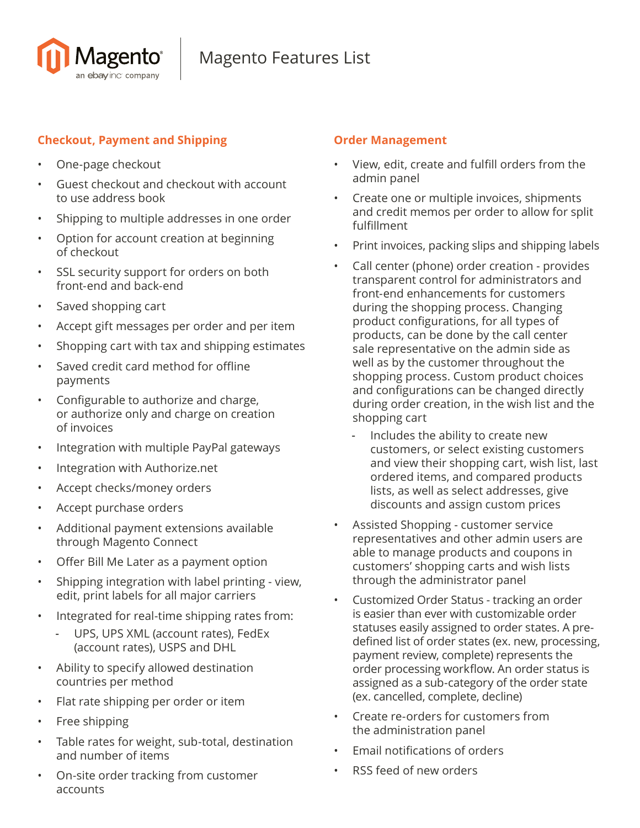

#### **Checkout, Payment and Shipping**

- One-page checkout
- Guest checkout and checkout with account to use address book
- Shipping to multiple addresses in one order
- Option for account creation at beginning of checkout
- SSL security support for orders on both front-end and back-end
- Saved shopping cart
- Accept gift messages per order and per item
- Shopping cart with tax and shipping estimates
- Saved credit card method for offline payments
- Configurable to authorize and charge, or authorize only and charge on creation of invoices
- Integration with multiple PayPal gateways
- Integration with Authorize.net
- Accept checks/money orders
- Accept purchase orders
- Additional payment extensions available through Magento Connect
- Offer Bill Me Later as a payment option
- Shipping integration with label printing view, edit, print labels for all major carriers
- Integrated for real-time shipping rates from:
	- UPS, UPS XML (account rates), FedEx (account rates), USPS and DHL
- Ability to specify allowed destination countries per method
- Flat rate shipping per order or item
- Free shipping
- Table rates for weight, sub-total, destination and number of items
- On-site order tracking from customer accounts

#### **Order Management**

- View, edit, create and fulfill orders from the admin panel
- Create one or multiple invoices, shipments and credit memos per order to allow for split fulfillment
- Print invoices, packing slips and shipping labels
- Call center (phone) order creation provides transparent control for administrators and front-end enhancements for customers during the shopping process. Changing product configurations, for all types of products, can be done by the call center sale representative on the admin side as well as by the customer throughout the shopping process. Custom product choices and configurations can be changed directly during order creation, in the wish list and the shopping cart
	- Includes the ability to create new customers, or select existing customers and view their shopping cart, wish list, last ordered items, and compared products lists, as well as select addresses, give discounts and assign custom prices
- Assisted Shopping customer service representatives and other admin users are able to manage products and coupons in customers' shopping carts and wish lists through the administrator panel
- Customized Order Status tracking an order is easier than ever with customizable order statuses easily assigned to order states. A predefined list of order states (ex. new, processing, payment review, complete) represents the order processing workflow. An order status is assigned as a sub-category of the order state (ex. cancelled, complete, decline)
- Create re-orders for customers from the administration panel
- Email notifications of orders
- RSS feed of new orders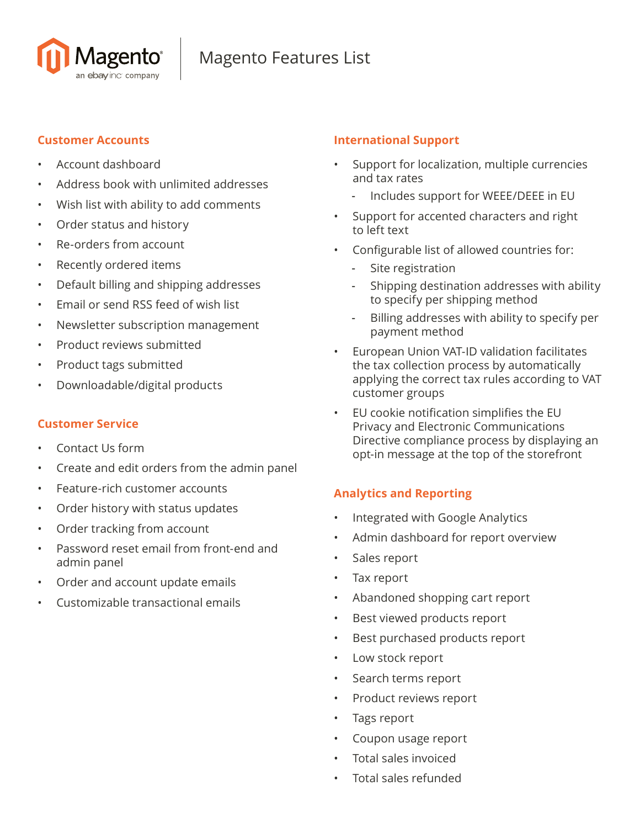

#### **Customer Accounts**

- Account dashboard
- Address book with unlimited addresses
- Wish list with ability to add comments
- Order status and history
- Re-orders from account
- Recently ordered items
- Default billing and shipping addresses
- Email or send RSS feed of wish list
- Newsletter subscription management
- Product reviews submitted
- Product tags submitted
- Downloadable/digital products

#### **Customer Service**

- Contact Us form
- Create and edit orders from the admin panel
- Feature-rich customer accounts
- Order history with status updates
- Order tracking from account
- Password reset email from front-end and admin panel
- Order and account update emails
- Customizable transactional emails

#### **International Support**

- Support for localization, multiple currencies and tax rates
	- Includes support for WEEE/DEEE in EU
- Support for accented characters and right to left text
- Configurable list of allowed countries for:
	- Site registration
	- Shipping destination addresses with ability to specify per shipping method
	- Billing addresses with ability to specify per payment method
- European Union VAT-ID validation facilitates the tax collection process by automatically applying the correct tax rules according to VAT customer groups
- EU cookie notification simplifies the EU Privacy and Electronic Communications Directive compliance process by displaying an opt-in message at the top of the storefront

#### **Analytics and Reporting**

- Integrated with Google Analytics
- Admin dashboard for report overview
- Sales report
- Tax report
- Abandoned shopping cart report
- Best viewed products report
- Best purchased products report
- Low stock report
- Search terms report
- Product reviews report
- Tags report
- Coupon usage report
- Total sales invoiced
- Total sales refunded